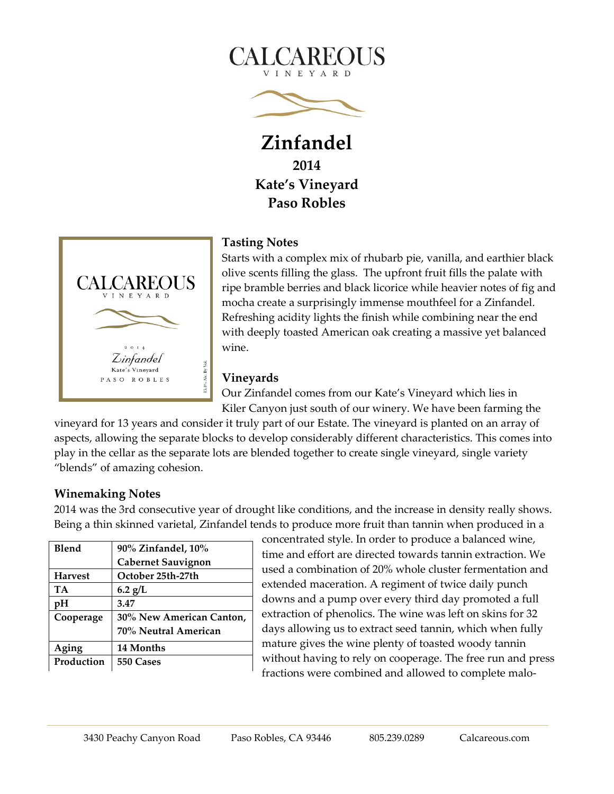



**Zinfandel 2014 Kate's Vineyard Paso Robles**



## **Tasting Notes**

Starts with a complex mix of rhubarb pie, vanilla, and earthier black olive scents filling the glass. The upfront fruit fills the palate with ripe bramble berries and black licorice while heavier notes of fig and mocha create a surprisingly immense mouthfeel for a Zinfandel. Refreshing acidity lights the finish while combining near the end with deeply toasted American oak creating a massive yet balanced wine.

## **Vineyards**

Our Zinfandel comes from our Kate's Vineyard which lies in Kiler Canyon just south of our winery. We have been farming the

vineyard for 13 years and consider it truly part of our Estate. The vineyard is planted on an array of aspects, allowing the separate blocks to develop considerably different characteristics. This comes into play in the cellar as the separate lots are blended together to create single vineyard, single variety "blends" of amazing cohesion.

## **Winemaking Notes**

2014 was the 3rd consecutive year of drought like conditions, and the increase in density really shows. Being a thin skinned varietal, Zinfandel tends to produce more fruit than tannin when produced in a

| Blend          | 90% Zinfandel, 10%        |
|----------------|---------------------------|
|                | <b>Cabernet Sauvignon</b> |
| <b>Harvest</b> | October 25th-27th         |
| <b>TA</b>      | $6.2$ g/L                 |
| pH             | 3.47                      |
| Cooperage      | 30% New American Canton,  |
|                | 70% Neutral American      |
| Aging          | 14 Months                 |
| Production     | 550 Cases                 |

concentrated style. In order to produce a balanced wine, time and effort are directed towards tannin extraction. We used a combination of 20% whole cluster fermentation and extended maceration. A regiment of twice daily punch downs and a pump over every third day promoted a full extraction of phenolics. The wine was left on skins for 32 days allowing us to extract seed tannin, which when fully mature gives the wine plenty of toasted woody tannin without having to rely on cooperage. The free run and press fractions were combined and allowed to complete malo-